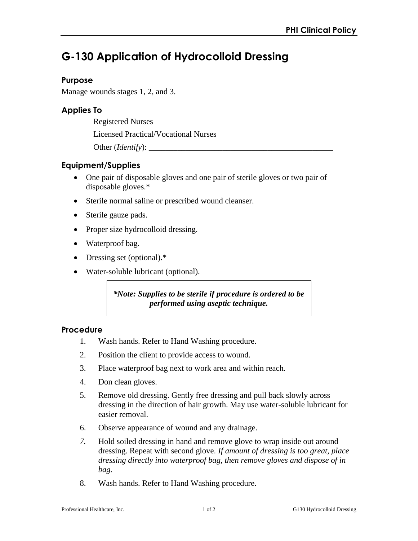# **G-130 Application of Hydrocolloid Dressing**

## **Purpose**

Manage wounds stages 1, 2, and 3.

## **Applies To**

Registered Nurses

Licensed Practical/Vocational Nurses

Other (*Identify*):

## **Equipment/Supplies**

- One pair of disposable gloves and one pair of sterile gloves or two pair of disposable gloves.\*
- Sterile normal saline or prescribed wound cleanser.
- Sterile gauze pads.
- Proper size hydrocolloid dressing.
- Waterproof bag.
- Dressing set (optional).\*
- Water-soluble lubricant (optional).

*\*Note: Supplies to be sterile if procedure is ordered to be performed using aseptic technique.* 

#### **Procedure**

- 1. Wash hands. Refer to Hand Washing procedure.
- 2. Position the client to provide access to wound.
- 3. Place waterproof bag next to work area and within reach.
- 4. Don clean gloves.
- 5. Remove old dressing. Gently free dressing and pull back slowly across dressing in the direction of hair growth. May use water-soluble lubricant for easier removal.
- 6. Observe appearance of wound and any drainage.
- *7.* Hold soiled dressing in hand and remove glove to wrap inside out around dressing. Repeat with second glove. *If amount of dressing is too great, place dressing directly into waterproof bag, then remove gloves and dispose of in bag.*
- 8. Wash hands. Refer to Hand Washing procedure.